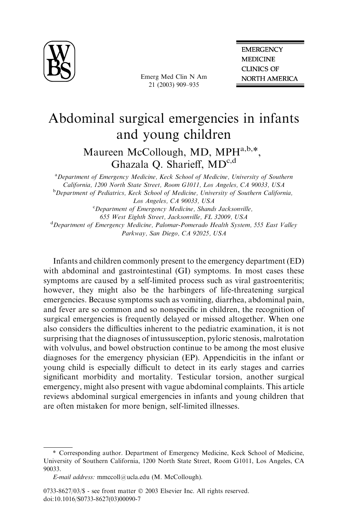

Emerg Med Clin N Am 21 (2003) 909–935

**EMERGENCY MEDICINE CLINICS OF NORTH AMERICA** 

# Abdominal surgical emergencies in infants and young children

Maureen McCollough, MD,  $MPH^{a,b,*}$ , Ghazala Q. Sharieff, MDc,d

<sup>a</sup> Department of Emergency Medicine, Keck School of Medicine, University of Southern California, 1200 North State Street, Room G1011, Los Angeles, CA 90033, USA **b** Department of Pediatrics, Keck School of Medicine, University of Southern California, Los Angeles, CA 90033, USA <sup>c</sup>Department of Emergency Medicine, Shands Jacksonville, 655 West Eighth Street, Jacksonville, FL 32009, USA <sup>d</sup> Department of Emergency Medicine, Palomar-Pomerado Health System, 555 East Valley Parkway, San Diego, CA 92025, USA

Infants and children commonly present to the emergency department (ED) with abdominal and gastrointestinal (GI) symptoms. In most cases these symptoms are caused by a self-limited process such as viral gastroenteritis; however, they might also be the harbingers of life-threatening surgical emergencies. Because symptoms such as vomiting, diarrhea, abdominal pain, and fever are so common and so nonspecific in children, the recognition of surgical emergencies is frequently delayed or missed altogether. When one also considers the difficulties inherent to the pediatric examination, it is not surprising that the diagnoses of intussusception, pyloric stenosis, malrotation with volvulus, and bowel obstruction continue to be among the most elusive diagnoses for the emergency physician (EP). Appendicitis in the infant or young child is especially difficult to detect in its early stages and carries significant morbidity and mortality. Testicular torsion, another surgical emergency, might also present with vague abdominal complaints. This article reviews abdominal surgical emergencies in infants and young children that are often mistaken for more benign, self-limited illnesses.

<sup>\*</sup> Corresponding author. Department of Emergency Medicine, Keck School of Medicine, University of Southern California, 1200 North State Street, Room G1011, Los Angeles, CA 90033.

E-mail address: [mmccoll@ucla.edu](mailto:mmccoll@ucla.edu) (M. McCollough).

<sup>0733-8627/03/\$ -</sup> see front matter  $\odot$  2003 Elsevier Inc. All rights reserved. doi:10.1016/S0733-8627(03)00090-7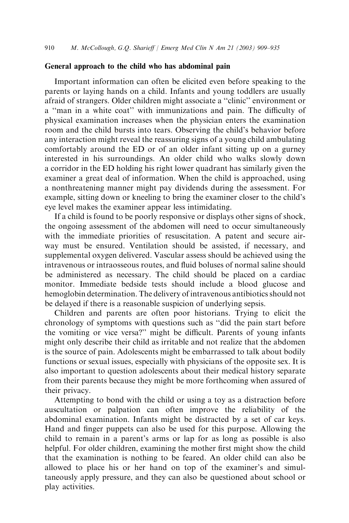#### General approach to the child who has abdominal pain

Important information can often be elicited even before speaking to the parents or laying hands on a child. Infants and young toddlers are usually afraid of strangers. Older children might associate a ''clinic'' environment or a ''man in a white coat'' with immunizations and pain. The difficulty of physical examination increases when the physician enters the examination room and the child bursts into tears. Observing the child's behavior before any interaction might reveal the reassuring signs of a young child ambulating comfortably around the ED or of an older infant sitting up on a gurney interested in his surroundings. An older child who walks slowly down a corridor in the ED holding his right lower quadrant has similarly given the examiner a great deal of information. When the child is approached, using a nonthreatening manner might pay dividends during the assessment. For example, sitting down or kneeling to bring the examiner closer to the child's eye level makes the examiner appear less intimidating.

If a child is found to be poorly responsive or displays other signs of shock, the ongoing assessment of the abdomen will need to occur simultaneously with the immediate priorities of resuscitation. A patent and secure airway must be ensured. Ventilation should be assisted, if necessary, and supplemental oxygen delivered. Vascular assess should be achieved using the intravenous or intraosseous routes, and fluid boluses of normal saline should be administered as necessary. The child should be placed on a cardiac monitor. Immediate bedside tests should include a blood glucose and hemoglobin determination. The delivery of intravenous antibiotics should not be delayed if there is a reasonable suspicion of underlying sepsis.

Children and parents are often poor historians. Trying to elicit the chronology of symptoms with questions such as ''did the pain start before the vomiting or vice versa?'' might be difficult. Parents of young infants might only describe their child as irritable and not realize that the abdomen is the source of pain. Adolescents might be embarrassed to talk about bodily functions or sexual issues, especially with physicians of the opposite sex. It is also important to question adolescents about their medical history separate from their parents because they might be more forthcoming when assured of their privacy.

Attempting to bond with the child or using a toy as a distraction before auscultation or palpation can often improve the reliability of the abdominal examination. Infants might be distracted by a set of car keys. Hand and finger puppets can also be used for this purpose. Allowing the child to remain in a parent's arms or lap for as long as possible is also helpful. For older children, examining the mother first might show the child that the examination is nothing to be feared. An older child can also be allowed to place his or her hand on top of the examiner's and simultaneously apply pressure, and they can also be questioned about school or play activities.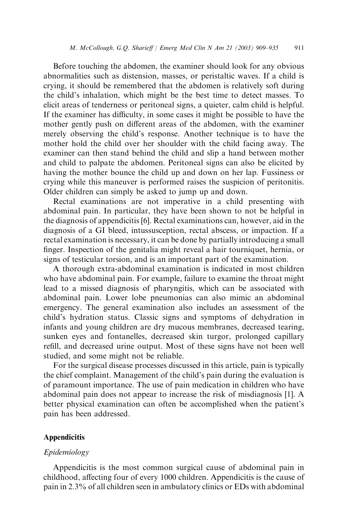Before touching the abdomen, the examiner should look for any obvious abnormalities such as distension, masses, or peristaltic waves. If a child is crying, it should be remembered that the abdomen is relatively soft during the child's inhalation, which might be the best time to detect masses. To elicit areas of tenderness or peritoneal signs, a quieter, calm child is helpful. If the examiner has difficulty, in some cases it might be possible to have the mother gently push on different areas of the abdomen, with the examiner merely observing the child's response. Another technique is to have the mother hold the child over her shoulder with the child facing away. The examiner can then stand behind the child and slip a hand between mother and child to palpate the abdomen. Peritoneal signs can also be elicited by having the mother bounce the child up and down on her lap. Fussiness or crying while this maneuver is performed raises the suspicion of peritonitis. Older children can simply be asked to jump up and down.

Rectal examinations are not imperative in a child presenting with abdominal pain. In particular, they have been shown to not be helpful in the diagnosis of appendicitis [6]. Rectal examinations can, however, aid in the diagnosis of a GI bleed, intussusception, rectal abscess, or impaction. If a rectal examination is necessary, it can be done by partially introducing a small finger. Inspection of the genitalia might reveal a hair tourniquet, hernia, or signs of testicular torsion, and is an important part of the examination.

A thorough extra-abdominal examination is indicated in most children who have abdominal pain. For example, failure to examine the throat might lead to a missed diagnosis of pharyngitis, which can be associated with abdominal pain. Lower lobe pneumonias can also mimic an abdominal emergency. The general examination also includes an assessment of the child's hydration status. Classic signs and symptoms of dehydration in infants and young children are dry mucous membranes, decreased tearing, sunken eyes and fontanelles, decreased skin turgor, prolonged capillary refill, and decreased urine output. Most of these signs have not been well studied, and some might not be reliable.

For the surgical disease processes discussed in this article, pain is typically the chief complaint. Management of the child's pain during the evaluation is of paramount importance. The use of pain medication in children who have abdominal pain does not appear to increase the risk of misdiagnosis [1]. A better physical examination can often be accomplished when the patient's pain has been addressed.

## Appendicitis

#### Epidemiology

Appendicitis is the most common surgical cause of abdominal pain in childhood, affecting four of every 1000 children. Appendicitis is the cause of pain in 2.3% of all children seen in ambulatory clinics or EDs with abdominal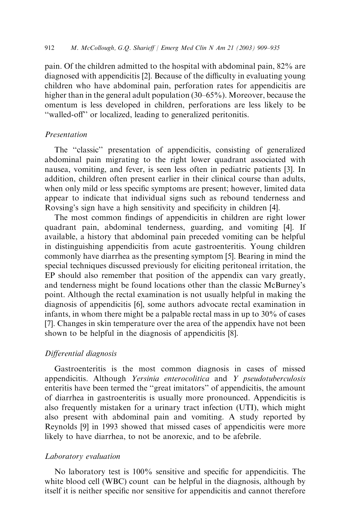pain. Of the children admitted to the hospital with abdominal pain, 82% are diagnosed with appendicitis [2]. Because of the difficulty in evaluating young children who have abdominal pain, perforation rates for appendicitis are higher than in the general adult population (30–65%). Moreover, because the omentum is less developed in children, perforations are less likely to be ''walled-off'' or localized, leading to generalized peritonitis.

# Presentation

The ''classic'' presentation of appendicitis, consisting of generalized abdominal pain migrating to the right lower quadrant associated with nausea, vomiting, and fever, is seen less often in pediatric patients [3]. In addition, children often present earlier in their clinical course than adults, when only mild or less specific symptoms are present; however, limited data appear to indicate that individual signs such as rebound tenderness and Rovsing's sign have a high sensitivity and specificity in children [4].

The most common findings of appendicitis in children are right lower quadrant pain, abdominal tenderness, guarding, and vomiting [4]. If available, a history that abdominal pain preceded vomiting can be helpful in distinguishing appendicitis from acute gastroenteritis. Young children commonly have diarrhea as the presenting symptom [5]. Bearing in mind the special techniques discussed previously for eliciting peritoneal irritation, the EP should also remember that position of the appendix can vary greatly, and tenderness might be found locations other than the classic McBurney's point. Although the rectal examination is not usually helpful in making the diagnosis of appendicitis [6], some authors advocate rectal examination in infants, in whom there might be a palpable rectal mass in up to 30% of cases [7]. Changes in skin temperature over the area of the appendix have not been shown to be helpful in the diagnosis of appendicitis [8].

# Differential diagnosis

Gastroenteritis is the most common diagnosis in cases of missed appendicitis. Although Yersinia enterocolitica and Y pseudotuberculosis enteritis have been termed the ''great imitators'' of appendicitis, the amount of diarrhea in gastroenteritis is usually more pronounced. Appendicitis is also frequently mistaken for a urinary tract infection (UTI), which might also present with abdominal pain and vomiting. A study reported by Reynolds [9] in 1993 showed that missed cases of appendicitis were more likely to have diarrhea, to not be anorexic, and to be afebrile.

#### Laboratory evaluation

No laboratory test is 100% sensitive and specific for appendicitis. The white blood cell (WBC) count can be helpful in the diagnosis, although by itself it is neither specific nor sensitive for appendicitis and cannot therefore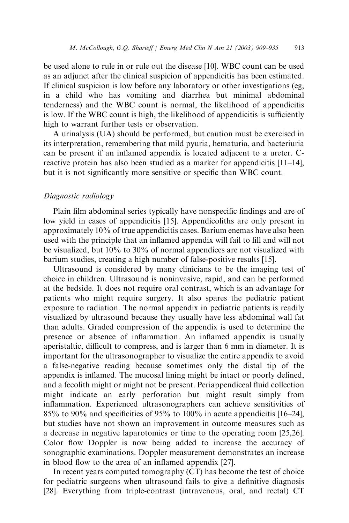be used alone to rule in or rule out the disease [10]. WBC count can be used as an adjunct after the clinical suspicion of appendicitis has been estimated. If clinical suspicion is low before any laboratory or other investigations (eg, in a child who has vomiting and diarrhea but minimal abdominal tenderness) and the WBC count is normal, the likelihood of appendicitis is low. If the WBC count is high, the likelihood of appendicitis is sufficiently high to warrant further tests or observation.

A urinalysis (UA) should be performed, but caution must be exercised in its interpretation, remembering that mild pyuria, hematuria, and bacteriuria can be present if an inflamed appendix is located adjacent to a ureter. Creactive protein has also been studied as a marker for appendicitis [11–14], but it is not significantly more sensitive or specific than WBC count.

## Diagnostic radiology

Plain film abdominal series typically have nonspecific findings and are of low yield in cases of appendicitis [15]. Appendicoliths are only present in approximately 10% of true appendicitis cases. Barium enemas have also been used with the principle that an inflamed appendix will fail to fill and will not be visualized, but 10% to 30% of normal appendices are not visualized with barium studies, creating a high number of false-positive results [15].

Ultrasound is considered by many clinicians to be the imaging test of choice in children. Ultrasound is noninvasive, rapid, and can be performed at the bedside. It does not require oral contrast, which is an advantage for patients who might require surgery. It also spares the pediatric patient exposure to radiation. The normal appendix in pediatric patients is readily visualized by ultrasound because they usually have less abdominal wall fat than adults. Graded compression of the appendix is used to determine the presence or absence of inflammation. An inflamed appendix is usually aperistaltic, difficult to compress, and is larger than 6 mm in diameter. It is important for the ultrasonographer to visualize the entire appendix to avoid a false-negative reading because sometimes only the distal tip of the appendix is inflamed. The mucosal lining might be intact or poorly defined, and a fecolith might or might not be present. Periappendiceal fluid collection might indicate an early perforation but might result simply from inflammation. Experienced ultrasonographers can achieve sensitivities of 85% to 90% and specificities of 95% to 100% in acute appendicitis [16–24], but studies have not shown an improvement in outcome measures such as a decrease in negative laparotomies or time to the operating room [25,26]. Color flow Doppler is now being added to increase the accuracy of sonographic examinations. Doppler measurement demonstrates an increase in blood flow to the area of an inflamed appendix [27].

In recent years computed tomography (CT) has become the test of choice for pediatric surgeons when ultrasound fails to give a definitive diagnosis [28]. Everything from triple-contrast (intravenous, oral, and rectal) CT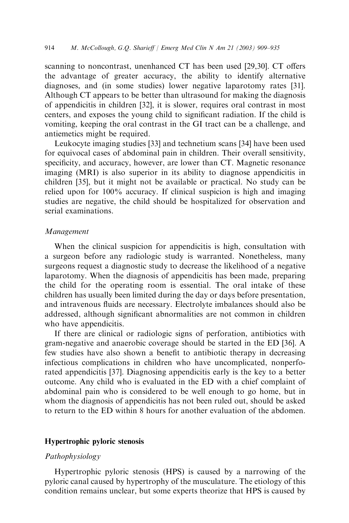scanning to noncontrast, unenhanced CT has been used [29,30]. CT offers the advantage of greater accuracy, the ability to identify alternative diagnoses, and (in some studies) lower negative laparotomy rates [31]. Although CT appears to be better than ultrasound for making the diagnosis of appendicitis in children [32], it is slower, requires oral contrast in most centers, and exposes the young child to significant radiation. If the child is vomiting, keeping the oral contrast in the GI tract can be a challenge, and antiemetics might be required.

Leukocyte imaging studies [33] and technetium scans [34] have been used for equivocal cases of abdominal pain in children. Their overall sensitivity, specificity, and accuracy, however, are lower than CT. Magnetic resonance imaging (MRI) is also superior in its ability to diagnose appendicitis in children [35], but it might not be available or practical. No study can be relied upon for 100% accuracy. If clinical suspicion is high and imaging studies are negative, the child should be hospitalized for observation and serial examinations.

#### Management

When the clinical suspicion for appendicitis is high, consultation with a surgeon before any radiologic study is warranted. Nonetheless, many surgeons request a diagnostic study to decrease the likelihood of a negative laparotomy. When the diagnosis of appendicitis has been made, preparing the child for the operating room is essential. The oral intake of these children has usually been limited during the day or days before presentation, and intravenous fluids are necessary. Electrolyte imbalances should also be addressed, although significant abnormalities are not common in children who have appendicitis.

If there are clinical or radiologic signs of perforation, antibiotics with gram-negative and anaerobic coverage should be started in the ED [36]. A few studies have also shown a benefit to antibiotic therapy in decreasing infectious complications in children who have uncomplicated, nonperforated appendicitis [37]. Diagnosing appendicitis early is the key to a better outcome. Any child who is evaluated in the ED with a chief complaint of abdominal pain who is considered to be well enough to go home, but in whom the diagnosis of appendicitis has not been ruled out, should be asked to return to the ED within 8 hours for another evaluation of the abdomen.

## Hypertrophic pyloric stenosis

#### Pathophysiology

Hypertrophic pyloric stenosis (HPS) is caused by a narrowing of the pyloric canal caused by hypertrophy of the musculature. The etiology of this condition remains unclear, but some experts theorize that HPS is caused by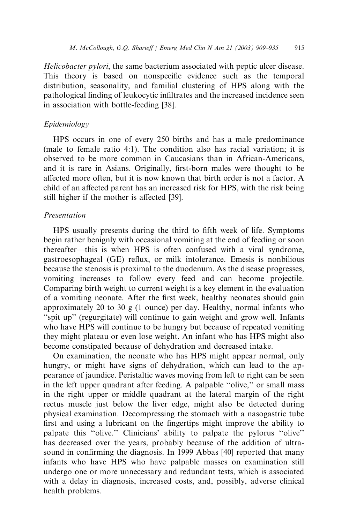Helicobacter *pylori*, the same bacterium associated with peptic ulcer disease. This theory is based on nonspecific evidence such as the temporal distribution, seasonality, and familial clustering of HPS along with the pathological finding of leukocytic infiltrates and the increased incidence seen in association with bottle-feeding [38].

# Epidemiology

HPS occurs in one of every 250 births and has a male predominance (male to female ratio 4:1). The condition also has racial variation; it is observed to be more common in Caucasians than in African-Americans, and it is rare in Asians. Originally, first-born males were thought to be affected more often, but it is now known that birth order is not a factor. A child of an affected parent has an increased risk for HPS, with the risk being still higher if the mother is affected [39].

# Presentation

HPS usually presents during the third to fifth week of life. Symptoms begin rather benignly with occasional vomiting at the end of feeding or soon thereafter—this is when HPS is often confused with a viral syndrome, gastroesophageal (GE) reflux, or milk intolerance. Emesis is nonbilious because the stenosis is proximal to the duodenum. As the disease progresses, vomiting increases to follow every feed and can become projectile. Comparing birth weight to current weight is a key element in the evaluation of a vomiting neonate. After the first week, healthy neonates should gain approximately 20 to 30 g (1 ounce) per day. Healthy, normal infants who ''spit up'' (regurgitate) will continue to gain weight and grow well. Infants who have HPS will continue to be hungry but because of repeated vomiting they might plateau or even lose weight. An infant who has HPS might also become constipated because of dehydration and decreased intake.

On examination, the neonate who has HPS might appear normal, only hungry, or might have signs of dehydration, which can lead to the appearance of jaundice. Peristaltic waves moving from left to right can be seen in the left upper quadrant after feeding. A palpable ''olive,'' or small mass in the right upper or middle quadrant at the lateral margin of the right rectus muscle just below the liver edge, might also be detected during physical examination. Decompressing the stomach with a nasogastric tube first and using a lubricant on the fingertips might improve the ability to palpate this ''olive.'' Clinicians' ability to palpate the pylorus ''olive'' has decreased over the years, probably because of the addition of ultrasound in confirming the diagnosis. In 1999 Abbas [40] reported that many infants who have HPS who have palpable masses on examination still undergo one or more unnecessary and redundant tests, which is associated with a delay in diagnosis, increased costs, and, possibly, adverse clinical health problems.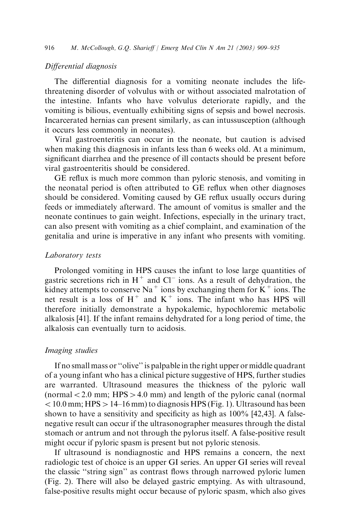#### Differential diagnosis

The differential diagnosis for a vomiting neonate includes the lifethreatening disorder of volvulus with or without associated malrotation of the intestine. Infants who have volvulus deteriorate rapidly, and the vomiting is bilious, eventually exhibiting signs of sepsis and bowel necrosis. Incarcerated hernias can present similarly, as can intussusception (although it occurs less commonly in neonates).

Viral gastroenteritis can occur in the neonate, but caution is advised when making this diagnosis in infants less than 6 weeks old. At a minimum, significant diarrhea and the presence of ill contacts should be present before viral gastroenteritis should be considered.

GE reflux is much more common than pyloric stenosis, and vomiting in the neonatal period is often attributed to GE reflux when other diagnoses should be considered. Vomiting caused by GE reflux usually occurs during feeds or immediately afterward. The amount of vomitus is smaller and the neonate continues to gain weight. Infections, especially in the urinary tract, can also present with vomiting as a chief complaint, and examination of the genitalia and urine is imperative in any infant who presents with vomiting.

## Laboratory tests

Prolonged vomiting in HPS causes the infant to lose large quantities of gastric secretions rich in  $H^+$  and  $Cl^-$  ions. As a result of dehydration, the kidney attempts to conserve Na<sup>+</sup> ions by exchanging them for  $K^+$  ions. The net result is a loss of  $H^+$  and  $K^+$  ions. The infant who has HPS will therefore initially demonstrate a hypokalemic, hypochloremic metabolic alkalosis [41]. If the infant remains dehydrated for a long period of time, the alkalosis can eventually turn to acidosis.

#### Imaging studies

If no small mass or ''olive'' is palpable in the right upper or middle quadrant of a young infant who has a clinical picture suggestive of HPS, further studies are warranted. Ultrasound measures the thickness of the pyloric wall (normal  $< 2.0$  mm; HPS  $> 4.0$  mm) and length of the pyloric canal (normal  $<$  10.0 mm; HPS  $>$  14–16 mm) to diagnosis HPS (Fig. 1). Ultrasound has been shown to have a sensitivity and specificity as high as 100% [42,43]. A falsenegative result can occur if the ultrasonographer measures through the distal stomach or antrum and not through the pylorus itself. A false-positive result might occur if pyloric spasm is present but not pyloric stenosis.

If ultrasound is nondiagnostic and HPS remains a concern, the next radiologic test of choice is an upper GI series. An upper GI series will reveal the classic ''string sign'' as contrast flows through narrowed pyloric lumen (Fig. 2). There will also be delayed gastric emptying. As with ultrasound, false-positive results might occur because of pyloric spasm, which also gives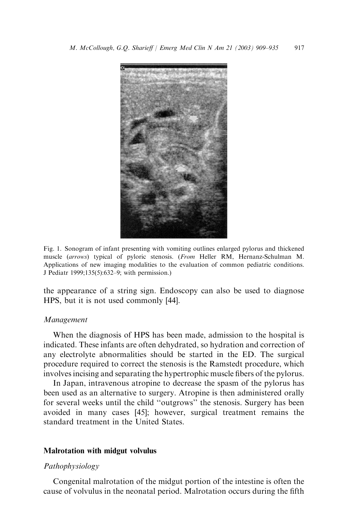

Fig. 1. Sonogram of infant presenting with vomiting outlines enlarged pylorus and thickened muscle (arrows) typical of pyloric stenosis. (From Heller RM, Hernanz-Schulman M. Applications of new imaging modalities to the evaluation of common pediatric conditions. J Pediatr 1999;135(5):632–9; with permission.)

the appearance of a string sign. Endoscopy can also be used to diagnose HPS, but it is not used commonly [44].

#### Management

When the diagnosis of HPS has been made, admission to the hospital is indicated. These infants are often dehydrated, so hydration and correction of any electrolyte abnormalities should be started in the ED. The surgical procedure required to correct the stenosis is the Ramstedt procedure, which involves incising and separating the hypertrophic muscle fibers of the pylorus.

In Japan, intravenous atropine to decrease the spasm of the pylorus has been used as an alternative to surgery. Atropine is then administered orally for several weeks until the child ''outgrows'' the stenosis. Surgery has been avoided in many cases [45]; however, surgical treatment remains the standard treatment in the United States.

## Malrotation with midgut volvulus

# Pathophysiology

Congenital malrotation of the midgut portion of the intestine is often the cause of volvulus in the neonatal period. Malrotation occurs during the fifth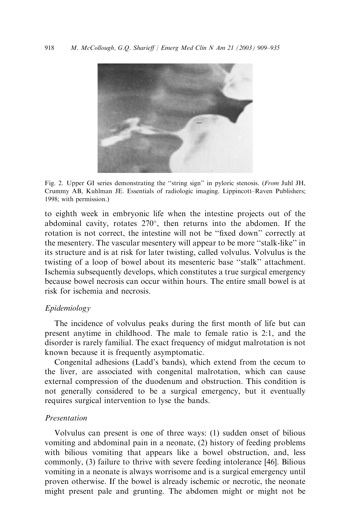

Fig. 2. Upper GI series demonstrating the "string sign" in pyloric stenosis. (*From Juhl JH*, Crummy AB, Kuhlman JE. Essentials of radiologic imaging. Lippincott–Raven Publishers; 1998; with permission.)

to eighth week in embryonic life when the intestine projects out of the abdominal cavity, rotates  $270^{\circ}$ , then returns into the abdomen. If the rotation is not correct, the intestine will not be ''fixed down'' correctly at the mesentery. The vascular mesentery will appear to be more ''stalk-like'' in its structure and is at risk for later twisting, called volvulus. Volvulus is the twisting of a loop of bowel about its mesenteric base ''stalk'' attachment. Ischemia subsequently develops, which constitutes a true surgical emergency because bowel necrosis can occur within hours. The entire small bowel is at risk for ischemia and necrosis.

# Epidemiology

The incidence of volvulus peaks during the first month of life but can present anytime in childhood. The male to female ratio is 2:1, and the disorder is rarely familial. The exact frequency of midgut malrotation is not known because it is frequently asymptomatic.

Congenital adhesions (Ladd's bands), which extend from the cecum to the liver, are associated with congenital malrotation, which can cause external compression of the duodenum and obstruction. This condition is not generally considered to be a surgical emergency, but it eventually requires surgical intervention to lyse the bands.

## Presentation

Volvulus can present is one of three ways: (1) sudden onset of bilious vomiting and abdominal pain in a neonate, (2) history of feeding problems with bilious vomiting that appears like a bowel obstruction, and, less commonly, (3) failure to thrive with severe feeding intolerance [46]. Bilious vomiting in a neonate is always worrisome and is a surgical emergency until proven otherwise. If the bowel is already ischemic or necrotic, the neonate might present pale and grunting. The abdomen might or might not be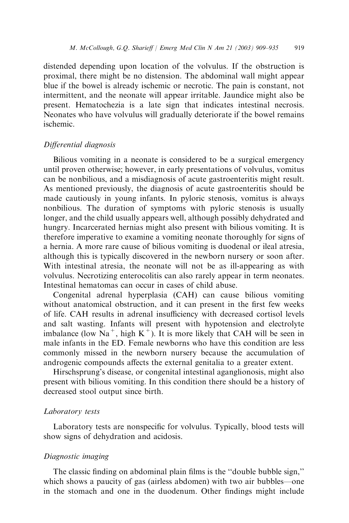distended depending upon location of the volvulus. If the obstruction is proximal, there might be no distension. The abdominal wall might appear blue if the bowel is already ischemic or necrotic. The pain is constant, not intermittent, and the neonate will appear irritable. Jaundice might also be present. Hematochezia is a late sign that indicates intestinal necrosis. Neonates who have volvulus will gradually deteriorate if the bowel remains ischemic.

#### Differential diagnosis

Bilious vomiting in a neonate is considered to be a surgical emergency until proven otherwise; however, in early presentations of volvulus, vomitus can be nonbilious, and a misdiagnosis of acute gastroenteritis might result. As mentioned previously, the diagnosis of acute gastroenteritis should be made cautiously in young infants. In pyloric stenosis, vomitus is always nonbilious. The duration of symptoms with pyloric stenosis is usually longer, and the child usually appears well, although possibly dehydrated and hungry. Incarcerated hernias might also present with bilious vomiting. It is therefore imperative to examine a vomiting neonate thoroughly for signs of a hernia. A more rare cause of bilious vomiting is duodenal or ileal atresia, although this is typically discovered in the newborn nursery or soon after. With intestinal atresia, the neonate will not be as ill-appearing as with volvulus. Necrotizing enterocolitis can also rarely appear in term neonates. Intestinal hematomas can occur in cases of child abuse.

Congenital adrenal hyperplasia (CAH) can cause bilious vomiting without anatomical obstruction, and it can present in the first few weeks of life. CAH results in adrenal insufficiency with decreased cortisol levels and salt wasting. Infants will present with hypotension and electrolyte imbalance (low  $\text{Na}^+$ , high K<sup>+</sup>). It is more likely that CAH will be seen in male infants in the ED. Female newborns who have this condition are less commonly missed in the newborn nursery because the accumulation of androgenic compounds affects the external genitalia to a greater extent.

Hirschsprung's disease, or congenital intestinal aganglionosis, might also present with bilious vomiting. In this condition there should be a history of decreased stool output since birth.

#### Laboratory tests

Laboratory tests are nonspecific for volvulus. Typically, blood tests will show signs of dehydration and acidosis.

#### Diagnostic imaging

The classic finding on abdominal plain films is the ''double bubble sign,'' which shows a paucity of gas (airless abdomen) with two air bubbles—one in the stomach and one in the duodenum. Other findings might include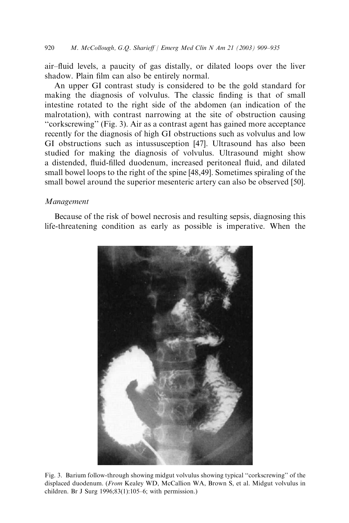air–fluid levels, a paucity of gas distally, or dilated loops over the liver shadow. Plain film can also be entirely normal.

An upper GI contrast study is considered to be the gold standard for making the diagnosis of volvulus. The classic finding is that of small intestine rotated to the right side of the abdomen (an indication of the malrotation), with contrast narrowing at the site of obstruction causing ''corkscrewing'' (Fig. 3). Air as a contrast agent has gained more acceptance recently for the diagnosis of high GI obstructions such as volvulus and low GI obstructions such as intussusception [47]. Ultrasound has also been studied for making the diagnosis of volvulus. Ultrasound might show a distended, fluid-filled duodenum, increased peritoneal fluid, and dilated small bowel loops to the right of the spine [48,49]. Sometimes spiraling of the small bowel around the superior mesenteric artery can also be observed [50].

## Management

Because of the risk of bowel necrosis and resulting sepsis, diagnosing this life-threatening condition as early as possible is imperative. When the



Fig. 3. Barium follow-through showing midgut volvulus showing typical ''corkscrewing'' of the displaced duodenum. (From Kealey WD, McCallion WA, Brown S, et al. Midgut volvulus in children. Br J Surg 1996;83(1):105–6; with permission.)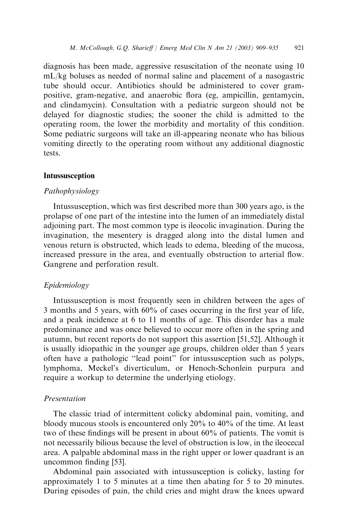diagnosis has been made, aggressive resuscitation of the neonate using 10 mL/kg boluses as needed of normal saline and placement of a nasogastric tube should occur. Antibiotics should be administered to cover grampositive, gram-negative, and anaerobic flora (eg, ampicillin, gentamycin, and clindamycin). Consultation with a pediatric surgeon should not be delayed for diagnostic studies; the sooner the child is admitted to the operating room, the lower the morbidity and mortality of this condition. Some pediatric surgeons will take an ill-appearing neonate who has bilious vomiting directly to the operating room without any additional diagnostic tests.

#### Intussusception

#### Pathophysiology

Intussusception, which was first described more than 300 years ago, is the prolapse of one part of the intestine into the lumen of an immediately distal adjoining part. The most common type is ileocolic invagination. During the invagination, the mesentery is dragged along into the distal lumen and venous return is obstructed, which leads to edema, bleeding of the mucosa, increased pressure in the area, and eventually obstruction to arterial flow. Gangrene and perforation result.

## Epidemiology

Intussusception is most frequently seen in children between the ages of 3 months and 5 years, with 60% of cases occurring in the first year of life, and a peak incidence at 6 to 11 months of age. This disorder has a male predominance and was once believed to occur more often in the spring and autumn, but recent reports do not support this assertion [51,52]. Although it is usually idiopathic in the younger age groups, children older than 5 years often have a pathologic ''lead point'' for intussusception such as polyps, lymphoma, Meckel's diverticulum, or Henoch-Schonlein purpura and require a workup to determine the underlying etiology.

## Presentation

The classic triad of intermittent colicky abdominal pain, vomiting, and bloody mucous stools is encountered only 20% to 40% of the time. At least two of these findings will be present in about 60% of patients. The vomit is not necessarily bilious because the level of obstruction is low, in the ileocecal area. A palpable abdominal mass in the right upper or lower quadrant is an uncommon finding [53].

Abdominal pain associated with intussusception is colicky, lasting for approximately 1 to 5 minutes at a time then abating for 5 to 20 minutes. During episodes of pain, the child cries and might draw the knees upward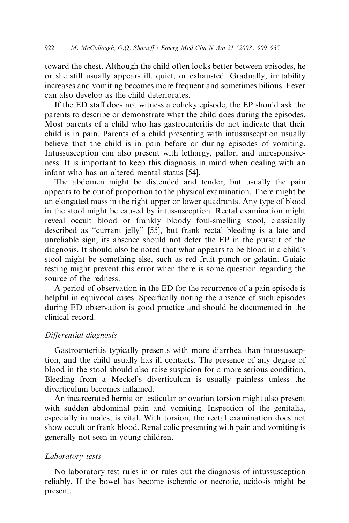toward the chest. Although the child often looks better between episodes, he or she still usually appears ill, quiet, or exhausted. Gradually, irritability increases and vomiting becomes more frequent and sometimes bilious. Fever can also develop as the child deteriorates.

If the ED staff does not witness a colicky episode, the EP should ask the parents to describe or demonstrate what the child does during the episodes. Most parents of a child who has gastroenteritis do not indicate that their child is in pain. Parents of a child presenting with intussusception usually believe that the child is in pain before or during episodes of vomiting. Intussusception can also present with lethargy, pallor, and unresponsiveness. It is important to keep this diagnosis in mind when dealing with an infant who has an altered mental status [54].

The abdomen might be distended and tender, but usually the pain appears to be out of proportion to the physical examination. There might be an elongated mass in the right upper or lower quadrants. Any type of blood in the stool might be caused by intussusception. Rectal examination might reveal occult blood or frankly bloody foul-smelling stool, classically described as ''currant jelly'' [55], but frank rectal bleeding is a late and unreliable sign; its absence should not deter the EP in the pursuit of the diagnosis. It should also be noted that what appears to be blood in a child's stool might be something else, such as red fruit punch or gelatin. Guiaic testing might prevent this error when there is some question regarding the source of the redness.

A period of observation in the ED for the recurrence of a pain episode is helpful in equivocal cases. Specifically noting the absence of such episodes during ED observation is good practice and should be documented in the clinical record.

# Differential diagnosis

Gastroenteritis typically presents with more diarrhea than intussusception, and the child usually has ill contacts. The presence of any degree of blood in the stool should also raise suspicion for a more serious condition. Bleeding from a Meckel's diverticulum is usually painless unless the diverticulum becomes inflamed.

An incarcerated hernia or testicular or ovarian torsion might also present with sudden abdominal pain and vomiting. Inspection of the genitalia, especially in males, is vital. With torsion, the rectal examination does not show occult or frank blood. Renal colic presenting with pain and vomiting is generally not seen in young children.

#### Laboratory tests

No laboratory test rules in or rules out the diagnosis of intussusception reliably. If the bowel has become ischemic or necrotic, acidosis might be present.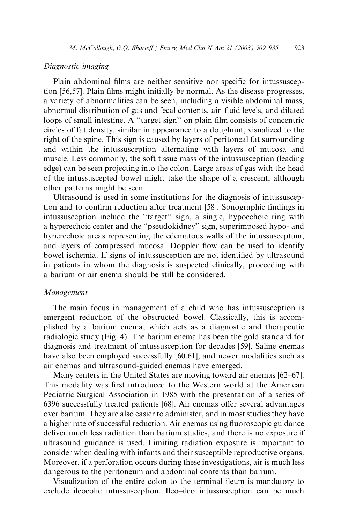## Diagnostic imaging

Plain abdominal films are neither sensitive nor specific for intussusception [56,57]. Plain films might initially be normal. As the disease progresses, a variety of abnormalities can be seen, including a visible abdominal mass, abnormal distribution of gas and fecal contents, air–fluid levels, and dilated loops of small intestine. A ''target sign'' on plain film consists of concentric circles of fat density, similar in appearance to a doughnut, visualized to the right of the spine. This sign is caused by layers of peritoneal fat surrounding and within the intussusception alternating with layers of mucosa and muscle. Less commonly, the soft tissue mass of the intussusception (leading edge) can be seen projecting into the colon. Large areas of gas with the head of the intussuscepted bowel might take the shape of a crescent, although other patterns might be seen.

Ultrasound is used in some institutions for the diagnosis of intussusception and to confirm reduction after treatment [58]. Sonographic findings in intussusception include the ''target'' sign, a single, hypoechoic ring with a hyperechoic center and the ''pseudokidney'' sign, superimposed hypo- and hyperechoic areas representing the edematous walls of the intussusceptum, and layers of compressed mucosa. Doppler flow can be used to identify bowel ischemia. If signs of intussusception are not identified by ultrasound in patients in whom the diagnosis is suspected clinically, proceeding with a barium or air enema should be still be considered.

## Management

The main focus in management of a child who has intussusception is emergent reduction of the obstructed bowel. Classically, this is accomplished by a barium enema, which acts as a diagnostic and therapeutic radiologic study (Fig. 4). The barium enema has been the gold standard for diagnosis and treatment of intussusception for decades [59]. Saline enemas have also been employed successfully [60,61], and newer modalities such as air enemas and ultrasound-guided enemas have emerged.

Many centers in the United States are moving toward air enemas [62–67]. This modality was first introduced to the Western world at the American Pediatric Surgical Association in 1985 with the presentation of a series of 6396 successfully treated patients [68]. Air enemas offer several advantages over barium. They are also easier to administer, and in most studies they have a higher rate of successful reduction. Air enemas using fluoroscopic guidance deliver much less radiation than barium studies, and there is no exposure if ultrasound guidance is used. Limiting radiation exposure is important to consider when dealing with infants and their susceptible reproductive organs. Moreover, if a perforation occurs during these investigations, air is much less dangerous to the peritoneum and abdominal contents than barium.

Visualization of the entire colon to the terminal ileum is mandatory to exclude ileocolic intussusception. Ileo–ileo intussusception can be much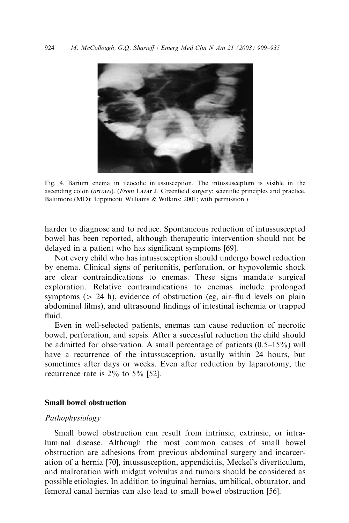

Fig. 4. Barium enema in ileocolic intussusception. The intussusceptum is visible in the ascending colon (arrows). (From Lazar J. Greenfield surgery: scientific principles and practice. Baltimore (MD): Lippincott Williams & Wilkins; 2001; with permission.)

harder to diagnose and to reduce. Spontaneous reduction of intussuscepted bowel has been reported, although therapeutic intervention should not be delayed in a patient who has significant symptoms [69].

Not every child who has intussusception should undergo bowel reduction by enema. Clinical signs of peritonitis, perforation, or hypovolemic shock are clear contraindications to enemas. These signs mandate surgical exploration. Relative contraindications to enemas include prolonged symptoms ( $> 24$  h), evidence of obstruction (eg, air-fluid levels on plain abdominal films), and ultrasound findings of intestinal ischemia or trapped fluid.

Even in well-selected patients, enemas can cause reduction of necrotic bowel, perforation, and sepsis. After a successful reduction the child should be admitted for observation. A small percentage of patients (0.5–15%) will have a recurrence of the intussusception, usually within 24 hours, but sometimes after days or weeks. Even after reduction by laparotomy, the recurrence rate is 2% to 5% [52].

## Small bowel obstruction

## Pathophysiology

Small bowel obstruction can result from intrinsic, extrinsic, or intraluminal disease. Although the most common causes of small bowel obstruction are adhesions from previous abdominal surgery and incarceration of a hernia [70], intussusception, appendicitis, Meckel's diverticulum, and malrotation with midgut volvulus and tumors should be considered as possible etiologies. In addition to inguinal hernias, umbilical, obturator, and femoral canal hernias can also lead to small bowel obstruction [56].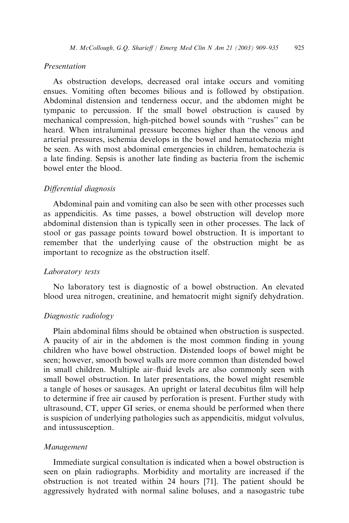## Presentation

As obstruction develops, decreased oral intake occurs and vomiting ensues. Vomiting often becomes bilious and is followed by obstipation. Abdominal distension and tenderness occur, and the abdomen might be tympanic to percussion. If the small bowel obstruction is caused by mechanical compression, high-pitched bowel sounds with ''rushes'' can be heard. When intraluminal pressure becomes higher than the venous and arterial pressures, ischemia develops in the bowel and hematochezia might be seen. As with most abdominal emergencies in children, hematochezia is a late finding. Sepsis is another late finding as bacteria from the ischemic bowel enter the blood.

## Differential diagnosis

Abdominal pain and vomiting can also be seen with other processes such as appendicitis. As time passes, a bowel obstruction will develop more abdominal distension than is typically seen in other processes. The lack of stool or gas passage points toward bowel obstruction. It is important to remember that the underlying cause of the obstruction might be as important to recognize as the obstruction itself.

#### Laboratory tests

No laboratory test is diagnostic of a bowel obstruction. An elevated blood urea nitrogen, creatinine, and hematocrit might signify dehydration.

# Diagnostic radiology

Plain abdominal films should be obtained when obstruction is suspected. A paucity of air in the abdomen is the most common finding in young children who have bowel obstruction. Distended loops of bowel might be seen; however, smooth bowel walls are more common than distended bowel in small children. Multiple air–fluid levels are also commonly seen with small bowel obstruction. In later presentations, the bowel might resemble a tangle of hoses or sausages. An upright or lateral decubitus film will help to determine if free air caused by perforation is present. Further study with ultrasound, CT, upper GI series, or enema should be performed when there is suspicion of underlying pathologies such as appendicitis, midgut volvulus, and intussusception.

#### Management

Immediate surgical consultation is indicated when a bowel obstruction is seen on plain radiographs. Morbidity and mortality are increased if the obstruction is not treated within 24 hours [71]. The patient should be aggressively hydrated with normal saline boluses, and a nasogastric tube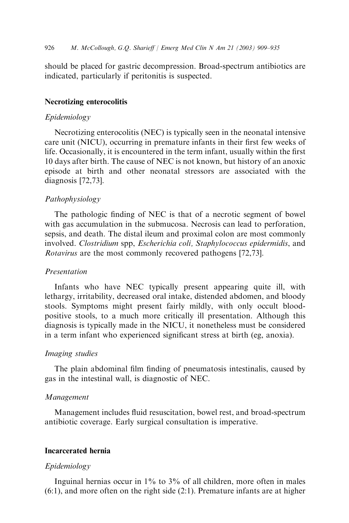926 M. McCollough, G.Q. Sharieff / Emerg Med Clin N Am 21 (2003) 909–935

should be placed for gastric decompression. Broad-spectrum antibiotics are indicated, particularly if peritonitis is suspected.

#### Necrotizing enterocolitis

# Epidemiology

Necrotizing enterocolitis (NEC) is typically seen in the neonatal intensive care unit (NICU), occurring in premature infants in their first few weeks of life. Occasionally, it is encountered in the term infant, usually within the first 10 days after birth. The cause of NEC is not known, but history of an anoxic episode at birth and other neonatal stressors are associated with the diagnosis [72,73].

# Pathophysiology

The pathologic finding of NEC is that of a necrotic segment of bowel with gas accumulation in the submucosa. Necrosis can lead to perforation, sepsis, and death. The distal ileum and proximal colon are most commonly involved. Clostridium spp, Escherichia coli, Staphylococcus epidermidis, and Rotavirus are the most commonly recovered pathogens [72,73].

# Presentation

Infants who have NEC typically present appearing quite ill, with lethargy, irritability, decreased oral intake, distended abdomen, and bloody stools. Symptoms might present fairly mildly, with only occult bloodpositive stools, to a much more critically ill presentation. Although this diagnosis is typically made in the NICU, it nonetheless must be considered in a term infant who experienced significant stress at birth (eg, anoxia).

# Imaging studies

The plain abdominal film finding of pneumatosis intestinalis, caused by gas in the intestinal wall, is diagnostic of NEC.

## Management

Management includes fluid resuscitation, bowel rest, and broad-spectrum antibiotic coverage. Early surgical consultation is imperative.

# Incarcerated hernia

## Epidemiology

Inguinal hernias occur in 1% to 3% of all children, more often in males (6:1), and more often on the right side (2:1). Premature infants are at higher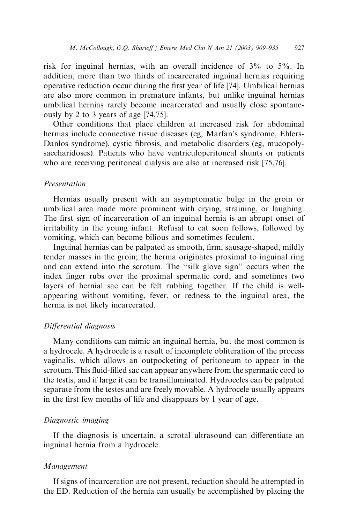risk for inguinal hernias, with an overall incidence of 3% to 5%. In addition, more than two thirds of incarcerated inguinal hernias requiring operative reduction occur during the first year of life [74]. Umbilical hernias are also more common in premature infants, but unlike inguinal hernias umbilical hernias rarely become incarcerated and usually close spontaneously by 2 to 3 years of age [74,75].

Other conditions that place children at increased risk for abdominal hernias include connective tissue diseases (eg, Marfan's syndrome, Ehlers-Danlos syndrome), cystic fibrosis, and metabolic disorders (eg, mucopolysaccharidoses). Patients who have ventriculoperitoneal shunts or patients who are receiving peritoneal dialysis are also at increased risk [75,76].

## Presentation

Hernias usually present with an asymptomatic bulge in the groin or umbilical area made more prominent with crying, straining, or laughing. The first sign of incarceration of an inguinal hernia is an abrupt onset of irritability in the young infant. Refusal to eat soon follows, followed by vomiting, which can become bilious and sometimes feculent.

Inguinal hernias can be palpated as smooth, firm, sausage-shaped, mildly tender masses in the groin; the hernia originates proximal to inguinal ring and can extend into the scrotum. The ''silk glove sign'' occurs when the index finger rubs over the proximal spermatic cord, and sometimes two layers of hernial sac can be felt rubbing together. If the child is wellappearing without vomiting, fever, or redness to the inguinal area, the hernia is not likely incarcerated.

#### Differential diagnosis

Many conditions can mimic an inguinal hernia, but the most common is a hydrocele. A hydrocele is a result of incomplete obliteration of the process vaginalis, which allows an outpocketing of peritoneum to appear in the scrotum. This fluid-filled sac can appear anywhere from the spermatic cord to the testis, and if large it can be transilluminated. Hydroceles can be palpated separate from the testes and are freely movable. A hydrocele usually appears in the first few months of life and disappears by 1 year of age.

## Diagnostic imaging

If the diagnosis is uncertain, a scrotal ultrasound can differentiate an inguinal hernia from a hydrocele.

#### Management

If signs of incarceration are not present, reduction should be attempted in the ED. Reduction of the hernia can usually be accomplished by placing the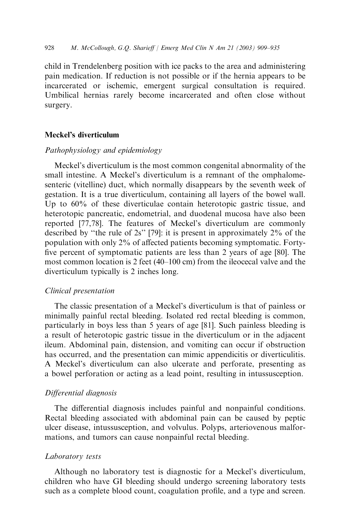child in Trendelenberg position with ice packs to the area and administering pain medication. If reduction is not possible or if the hernia appears to be incarcerated or ischemic, emergent surgical consultation is required. Umbilical hernias rarely become incarcerated and often close without surgery.

# Meckel's diverticulum

# Pathophysiology and epidemiology

Meckel's diverticulum is the most common congenital abnormality of the small intestine. A Meckel's diverticulum is a remnant of the omphalomesenteric (vitelline) duct, which normally disappears by the seventh week of gestation. It is a true diverticulum, containing all layers of the bowel wall. Up to 60% of these diverticulae contain heterotopic gastric tissue, and heterotopic pancreatic, endometrial, and duodenal mucosa have also been reported [77,78]. The features of Meckel's diverticulum are commonly described by ''the rule of 2s'' [79]: it is present in approximately 2% of the population with only 2% of affected patients becoming symptomatic. Fortyfive percent of symptomatic patients are less than 2 years of age [80]. The most common location is 2 feet (40–100 cm) from the ileocecal valve and the diverticulum typically is 2 inches long.

## Clinical presentation

The classic presentation of a Meckel's diverticulum is that of painless or minimally painful rectal bleeding. Isolated red rectal bleeding is common, particularly in boys less than 5 years of age [81]. Such painless bleeding is a result of heterotopic gastric tissue in the diverticulum or in the adjacent ileum. Abdominal pain, distension, and vomiting can occur if obstruction has occurred, and the presentation can mimic appendicitis or diverticulitis. A Meckel's diverticulum can also ulcerate and perforate, presenting as a bowel perforation or acting as a lead point, resulting in intussusception.

## Differential diagnosis

The differential diagnosis includes painful and nonpainful conditions. Rectal bleeding associated with abdominal pain can be caused by peptic ulcer disease, intussusception, and volvulus. Polyps, arteriovenous malformations, and tumors can cause nonpainful rectal bleeding.

## Laboratory tests

Although no laboratory test is diagnostic for a Meckel's diverticulum, children who have GI bleeding should undergo screening laboratory tests such as a complete blood count, coagulation profile, and a type and screen.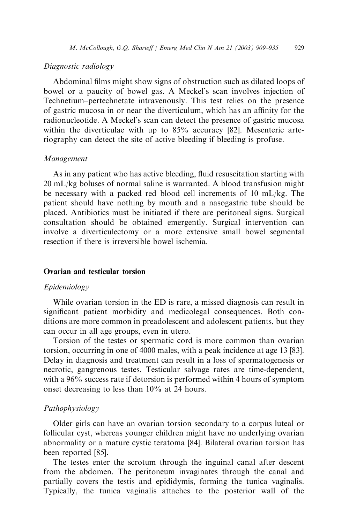## Diagnostic radiology

Abdominal films might show signs of obstruction such as dilated loops of bowel or a paucity of bowel gas. A Meckel's scan involves injection of Technetium–pertechnetate intravenously. This test relies on the presence of gastric mucosa in or near the diverticulum, which has an affinity for the radionucleotide. A Meckel's scan can detect the presence of gastric mucosa within the diverticulae with up to 85% accuracy [82]. Mesenteric arteriography can detect the site of active bleeding if bleeding is profuse.

# Management

As in any patient who has active bleeding, fluid resuscitation starting with 20 mL/kg boluses of normal saline is warranted. A blood transfusion might be necessary with a packed red blood cell increments of 10 mL/kg. The patient should have nothing by mouth and a nasogastric tube should be placed. Antibiotics must be initiated if there are peritoneal signs. Surgical consultation should be obtained emergently. Surgical intervention can involve a diverticulectomy or a more extensive small bowel segmental resection if there is irreversible bowel ischemia.

## Ovarian and testicular torsion

#### Epidemiology

While ovarian torsion in the ED is rare, a missed diagnosis can result in significant patient morbidity and medicolegal consequences. Both conditions are more common in preadolescent and adolescent patients, but they can occur in all age groups, even in utero.

Torsion of the testes or spermatic cord is more common than ovarian torsion, occurring in one of 4000 males, with a peak incidence at age 13 [83]. Delay in diagnosis and treatment can result in a loss of spermatogenesis or necrotic, gangrenous testes. Testicular salvage rates are time-dependent, with a 96% success rate if detorsion is performed within 4 hours of symptom onset decreasing to less than 10% at 24 hours.

# Pathophysiology

Older girls can have an ovarian torsion secondary to a corpus luteal or follicular cyst, whereas younger children might have no underlying ovarian abnormality or a mature cystic teratoma [84]. Bilateral ovarian torsion has been reported [85].

The testes enter the scrotum through the inguinal canal after descent from the abdomen. The peritoneum invaginates through the canal and partially covers the testis and epididymis, forming the tunica vaginalis. Typically, the tunica vaginalis attaches to the posterior wall of the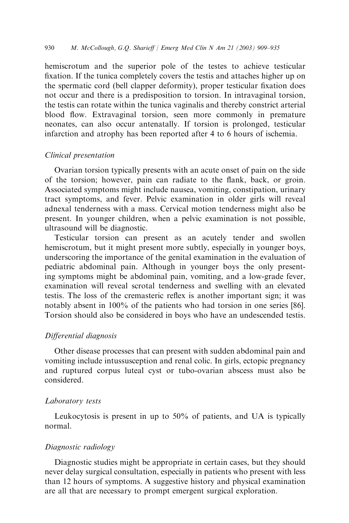hemiscrotum and the superior pole of the testes to achieve testicular fixation. If the tunica completely covers the testis and attaches higher up on the spermatic cord (bell clapper deformity), proper testicular fixation does not occur and there is a predisposition to torsion. In intravaginal torsion, the testis can rotate within the tunica vaginalis and thereby constrict arterial blood flow. Extravaginal torsion, seen more commonly in premature neonates, can also occur antenatally. If torsion is prolonged, testicular infarction and atrophy has been reported after 4 to 6 hours of ischemia.

## Clinical presentation

Ovarian torsion typically presents with an acute onset of pain on the side of the torsion; however, pain can radiate to the flank, back, or groin. Associated symptoms might include nausea, vomiting, constipation, urinary tract symptoms, and fever. Pelvic examination in older girls will reveal adnexal tenderness with a mass. Cervical motion tenderness might also be present. In younger children, when a pelvic examination is not possible, ultrasound will be diagnostic.

Testicular torsion can present as an acutely tender and swollen hemiscrotum, but it might present more subtly, especially in younger boys, underscoring the importance of the genital examination in the evaluation of pediatric abdominal pain. Although in younger boys the only presenting symptoms might be abdominal pain, vomiting, and a low-grade fever, examination will reveal scrotal tenderness and swelling with an elevated testis. The loss of the cremasteric reflex is another important sign; it was notably absent in 100% of the patients who had torsion in one series [86]. Torsion should also be considered in boys who have an undescended testis.

#### Differential diagnosis

Other disease processes that can present with sudden abdominal pain and vomiting include intussusception and renal colic. In girls, ectopic pregnancy and ruptured corpus luteal cyst or tubo-ovarian abscess must also be considered.

#### Laboratory tests

Leukocytosis is present in up to 50% of patients, and UA is typically normal.

# Diagnostic radiology

Diagnostic studies might be appropriate in certain cases, but they should never delay surgical consultation, especially in patients who present with less than 12 hours of symptoms. A suggestive history and physical examination are all that are necessary to prompt emergent surgical exploration.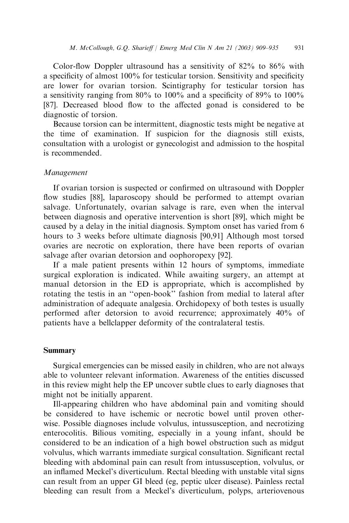Color-flow Doppler ultrasound has a sensitivity of 82% to 86% with a specificity of almost 100% for testicular torsion. Sensitivity and specificity are lower for ovarian torsion. Scintigraphy for testicular torsion has a sensitivity ranging from 80% to 100% and a specificity of 89% to 100% [87]. Decreased blood flow to the affected gonad is considered to be diagnostic of torsion.

Because torsion can be intermittent, diagnostic tests might be negative at the time of examination. If suspicion for the diagnosis still exists, consultation with a urologist or gynecologist and admission to the hospital is recommended.

#### Management

If ovarian torsion is suspected or confirmed on ultrasound with Doppler flow studies [88], laparoscopy should be performed to attempt ovarian salvage. Unfortunately, ovarian salvage is rare, even when the interval between diagnosis and operative intervention is short [89], which might be caused by a delay in the initial diagnosis. Symptom onset has varied from 6 hours to 3 weeks before ultimate diagnosis [90,91] Although most torsed ovaries are necrotic on exploration, there have been reports of ovarian salvage after ovarian detorsion and oophoropexy [92].

If a male patient presents within 12 hours of symptoms, immediate surgical exploration is indicated. While awaiting surgery, an attempt at manual detorsion in the ED is appropriate, which is accomplished by rotating the testis in an ''open-book'' fashion from medial to lateral after administration of adequate analgesia. Orchidopexy of both testes is usually performed after detorsion to avoid recurrence; approximately 40% of patients have a bellclapper deformity of the contralateral testis.

#### Summary

Surgical emergencies can be missed easily in children, who are not always able to volunteer relevant information. Awareness of the entities discussed in this review might help the EP uncover subtle clues to early diagnoses that might not be initially apparent.

Ill-appearing children who have abdominal pain and vomiting should be considered to have ischemic or necrotic bowel until proven otherwise. Possible diagnoses include volvulus, intussusception, and necrotizing enterocolitis. Bilious vomiting, especially in a young infant, should be considered to be an indication of a high bowel obstruction such as midgut volvulus, which warrants immediate surgical consultation. Significant rectal bleeding with abdominal pain can result from intussusception, volvulus, or an inflamed Meckel's diverticulum. Rectal bleeding with unstable vital signs can result from an upper GI bleed (eg, peptic ulcer disease). Painless rectal bleeding can result from a Meckel's diverticulum, polyps, arteriovenous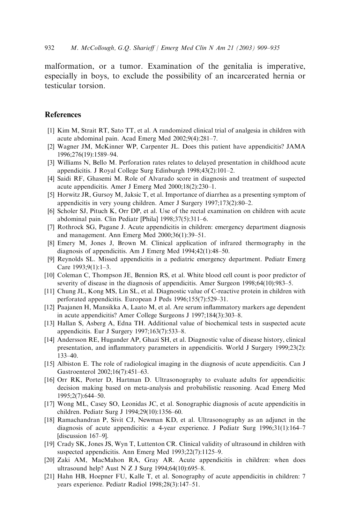malformation, or a tumor. Examination of the genitalia is imperative, especially in boys, to exclude the possibility of an incarcerated hernia or testicular torsion.

## References

- [1] Kim M, Strait RT, Sato TT, et al. A randomized clinical trial of analgesia in children with acute abdominal pain. Acad Emerg Med 2002;9(4):281–7.
- [2] Wagner JM, McKinner WP, Carpenter JL. Does this patient have appendicitis? JAMA 1996;276(19):1589–94.
- [3] Williams N, Bello M. Perforation rates relates to delayed presentation in childhood acute appendicitis. J Royal College Surg Edinburgh 1998;43(2):101–2.
- [4] Saidi RF, Ghasemi M. Role of Alvarado score in diagnosis and treatment of suspected acute appendicitis. Amer J Emerg Med 2000;18(2):230–1.
- [5] Horwitz JR, Gursoy M, Jaksic T, et al. Importance of diarrhea as a presenting symptom of appendicitis in very young children. Amer J Surgery 1997;173(2):80–2.
- [6] Scholer SJ, Pituch K, Orr DP, et al. Use of the rectal examination on children with acute abdominal pain. Clin Pediatr [Phila] 1998;37(5):311–6.
- [7] Rothrock SG, Pagane J. Acute appendicitis in children: emergency department diagnosis and management. Ann Emerg Med 2000;36(1):39–51.
- [8] Emery M, Jones J, Brown M. Clinical application of infrared thermography in the diagnosis of appendicitis. Am J Emerg Med 1994;42(1):48–50.
- [9] Reynolds SL. Missed appendicitis in a pediatric emergency department. Pediatr Emerg Care 1993;9(1):1–3.
- [10] Coleman C, Thompson JE, Bennion RS, et al. White blood cell count is poor predictor of severity of disease in the diagnosis of appendicitis. Amer Surgeon 1998;64(10):983–5.
- [11] Chung JL, Kong MS, Lin SL, et al. Diagnostic value of C-reactive protein in children with perforated appendicitis. European J Peds 1996;155(7):529–31.
- [12] Paajanen H, Mansikka A, Laato M, et al. Are serum inflammatory markers age dependent in acute appendicitis? Amer College Surgeons J 1997;184(3):303–8.
- [13] Hallan S, Asberg A, Edna TH. Additional value of biochemical tests in suspected acute appendicitis. Eur J Surgery 1997;163(7):533–8.
- [14] Andersson RE, Hugander AP, Ghazi SH, et al. Diagnostic value of disease history, clinical presentation, and inflammatory parameters in appendicitis. World J Surgery 1999;23(2): 133–40.
- [15] Albiston E. The role of radiological imaging in the diagnosis of acute appendicitis. Can J Gastroenterol 2002;16(7):451–63.
- [16] Orr RK, Porter D, Hartman D. Ultrasonography to evaluate adults for appendicitis: decision making based on meta-analysis and probabilistic reasoning. Acad Emerg Med 1995;2(7):644–50.
- [17] Wong ML, Casey SO, Leonidas JC, et al. Sonographic diagnosis of acute appendicitis in children. Pediatr Surg J 1994;29(10):1356–60.
- [18] Ramachandran P, Sivit CJ, Newman KD, et al. Ultrasonography as an adjunct in the diagnosis of acute appendicitis: a 4-year experience. J Pediatr Surg 1996;31(1):164–7 [discussion 167–9].
- [19] Crady SK, Jones JS, Wyn T, Luttenton CR. Clinical validity of ultrasound in children with suspected appendicitis. Ann Emerg Med 1993;22(7):1125–9.
- [20] Zaki AM, MacMahon RA, Gray AR. Acute appendicitis in children: when does ultrasound help? Aust N Z J Surg 1994;64(10):695–8.
- [21] Hahn HB, Hoepner FU, Kalle T, et al. Sonography of acute appendicitis in children: 7 years experience. Pediatr Radiol 1998;28(3):147–51.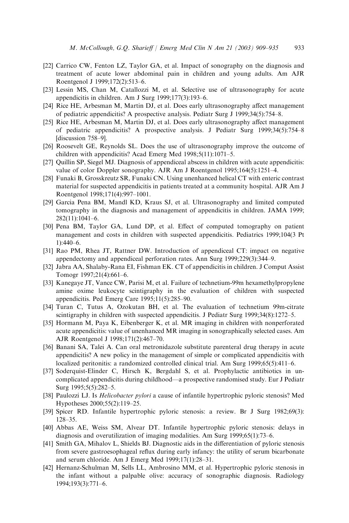- [22] Carrico CW, Fenton LZ, Taylor GA, et al. Impact of sonography on the diagnosis and treatment of acute lower abdominal pain in children and young adults. Am AJR Roentgenol J 1999;172(2):513–6.
- [23] Lessin MS, Chan M, Catallozzi M, et al. Selective use of ultrasonography for acute appendicitis in children. Am J Surg 1999;177(3):193–6.
- [24] Rice HE, Arbesman M, Martin DJ, et al. Does early ultrasonography affect management of pediatric appendicitis? A prospective analysis. Pediatr Surg J 1999;34(5):754–8.
- [25] Rice HE, Arbesman M, Martin DJ, et al. Does early ultrasonography affect management of pediatric appendicitis? A prospective analysis. J Pediatr Surg 1999;34(5):754–8 [discussion 758–9].
- [26] Roosevelt GE, Reynolds SL. Does the use of ultrasonography improve the outcome of children with appendicitis? Acad Emerg Med 1998;5(11):1071–5.
- [27] Quillin SP, Siegel MJ. Diagnosis of appendiceal abscess in children with acute appendicitis: value of color Doppler sonography. AJR Am J Roentgenol 1995;164(5):1251–4.
- [28] Funaki B, Grosskreutz SR, Funaki CN. Using unenhanced helical CT with enteric contrast material for suspected appendicitis in patients treated at a community hospital. AJR Am J Roentgenol 1998;171(4):997–1001.
- [29] Garcia Pena BM, Mandl KD, Kraus SJ, et al. Ultrasonography and limited computed tomography in the diagnosis and management of appendicitis in children. JAMA 1999; 282(11):1041–6.
- [30] Pena BM, Taylor GA, Lund DP, et al. Effect of computed tomography on patient management and costs in children with suspected appendicitis. Pediatrics 1999;104(3 Pt 1):440–6.
- [31] Rao PM, Rhea JT, Rattner DW. Introduction of appendiceal CT: impact on negative appendectomy and appendiceal perforation rates. Ann Surg 1999;229(3):344–9.
- [32] Jabra AA, Shalaby-Rana EI, Fishman EK. CT of appendicitis in children. J Comput Assist Tomogr 1997;21(4):661–6.
- [33] Kanegaye JT, Vance CW, Parisi M, et al. Failure of technetium-99m hexamethylpropylene amine oxime leukocyte scintigraphy in the evaluation of children with suspected appendicitis. Ped Emerg Care 1995;11(5):285–90.
- [34] Turan C, Tutus A, Ozokutan BH, et al. The evaluation of technetium 99m-citrate scintigraphy in children with suspected appendicitis. J Pediatr Surg 1999;34(8):1272–5.
- [35] Hormann M, Paya K, Eibenberger K, et al. MR imaging in children with nonperforated acute appendicitis: value of unenhanced MR imaging in sonographically selected cases. Am AJR Roentgenol J 1998;171(2):467–70.
- [36] Banani SA, Talei A. Can oral metronidazole substitute parenteral drug therapy in acute appendicitis? A new policy in the management of simple or complicated appendicitis with localized peritonitis: a randomized controlled clinical trial. Am Surg 1999;65(5):411–6.
- [37] Soderquist-Elinder C, Hirsch K, Bergdahl S, et al. Prophylactic antibiotics in uncomplicated appendicitis during childhood—a prospective randomised study. Eur J Pediatr Surg 1995;5(5):282–5.
- [38] Paulozzi LJ. Is *Helicobacter pylori* a cause of infantile hypertrophic pyloric stenosis? Med Hypotheses 2000;55(2):119–25.
- [39] Spicer RD. Infantile hypertrophic pyloric stenosis: a review. Br J Surg 1982;69(3): 128–35.
- [40] Abbas AE, Weiss SM, Alvear DT. Infantile hypertrophic pyloric stenosis: delays in diagnosis and overutilization of imaging modalities. Am Surg 1999;65(1):73–6.
- [41] Smith GA, Mihalov L, Shields BJ. Diagnostic aids in the differentiation of pyloric stenosis from severe gastroesophageal reflux during early infancy: the utility of serum bicarbonate and serum chloride. Am J Emerg Med 1999;17(1):28–31.
- [42] Hernanz-Schulman M, Sells LL, Ambrosino MM, et al. Hypertrophic pyloric stenosis in the infant without a palpable olive: accuracy of sonographic diagnosis. Radiology 1994;193(3):771–6.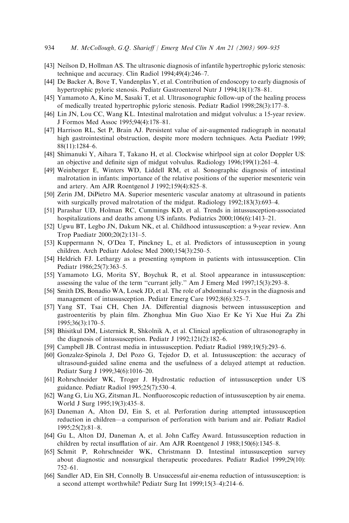- [43] Neilson D, Hollman AS. The ultrasonic diagnosis of infantile hypertrophic pyloric stenosis: technique and accuracy. Clin Radiol 1994;49(4):246–7.
- [44] De Backer A, Bove T, Vandenplas Y, et al. Contribution of endoscopy to early diagnosis of hypertrophic pyloric stenosis. Pediatr Gastroenterol Nutr J 1994;18(1):78–81.
- [45] Yamamoto A, Kino M, Sasaki T, et al. Ultrasonographic follow-up of the healing process of medically treated hypertrophic pyloric stenosis. Pediatr Radiol 1998;28(3):177–8.
- [46] Lin JN, Lou CC, Wang KL. Intestinal malrotation and midgut volvulus: a 15-year review. J Formos Med Assoc 1995;94(4):178–81.
- [47] Harrison RL, Set P, Brain AJ. Persistent value of air-augmented radiograph in neonatal high gastrointestinal obstruction, despite more modern techniques. Acta Paediatr 1999; 88(11):1284–6.
- [48] Shimanuki Y, Aihara T, Takano H, et al. Clockwise whirlpool sign at color Doppler US: an objective and definite sign of midgut volvulus. Radiology 1996;199(1):261–4.
- [49] Weinberger E, Winters WD, Liddell RM, et al. Sonographic diagnosis of intestinal malrotation in infants: importance of the relative positions of the superior mesenteric vein and artery. Am AJR Roentgenol J 1992;159(4):825–8.
- [50] Zerin JM, DiPietro MA. Superior mesenteric vascular anatomy at ultrasound in patients with surgically proved malrotation of the midgut. Radiology 1992;183(3):693–4.
- [51] Parashar UD, Holman RC, Cummings KD, et al. Trends in intussusception-associated hospitalizations and deaths among US infants. Pediatrics 2000;106(6):1413–21.
- [52] Ugwu BT, Legbo JN, Dakum NK, et al. Childhood intussusception: a 9-year review. Ann Trop Paediatr 2000;20(2):131–5.
- [53] Kuppermann N, O'Dea T, Pinckney L, et al. Predictors of intussusception in young children. Arch Pediatr Adolesc Med 2000;154(3):250–5.
- [54] Heldrich FJ. Lethargy as a presenting symptom in patients with intussusception. Clin Pediatr 1986;25(7):363–5.
- [55] Yamamoto LG, Morita SY, Boychuk R, et al. Stool appearance in intussusception: assessing the value of the term ''currant jelly.'' Am J Emerg Med 1997;15(3):293–8.
- [56] Smith DS, Bonadio WA, Losek JD, et al. The role of abdominal x-rays in the diagnosis and management of intussusception. Pediatr Emerg Care 1992;8(6):325–7.
- [57] Yang ST, Tsai CH, Chen JA. Differential diagnosis between intussusception and gastroenteritis by plain film. Zhonghua Min Guo Xiao Er Ke Yi Xue Hui Za Zhi 1995;36(3):170–5.
- [58] Bhisitkul DM, Listernick R, Shkolnik A, et al. Clinical application of ultrasonography in the diagnosis of intussusception. Pediatr J 1992;121(2):182–6.
- [59] Campbell JB. Contrast media in intussusception. Pediatr Radiol 1989;19(5):293–6.
- [60] Gonzalez-Spinola J, Del Pozo G, Tejedor D, et al. Intussusception: the accuracy of ultrasound-guided saline enema and the usefulness of a delayed attempt at reduction. Pediatr Surg J 1999;34(6):1016–20.
- [61] Rohrschneider WK, Troger J. Hydrostatic reduction of intussusception under US guidance. Pediatr Radiol 1995;25(7):530–4.
- [62] Wang G, Liu XG, Zitsman JL. Nonfluoroscopic reduction of intussusception by air enema. World J Surg 1995;19(3):435–8.
- [63] Daneman A, Alton DJ, Ein S, et al. Perforation during attempted intussusception reduction in children—a comparison of perforation with barium and air. Pediatr Radiol 1995;25(2):81–8.
- [64] Gu L, Alton DJ, Daneman A, et al. John Caffey Award. Intussusception reduction in children by rectal insufflation of air. Am AJR Roentgenol J 1988;150(6):1345–8.
- [65] Schmit P, Rohrschneider WK, Christmann D. Intestinal intussusception survey about diagnostic and nonsurgical therapeutic procedures. Pediatr Radiol 1999;29(10): 752–61.
- [66] Sandler AD, Ein SH, Connolly B. Unsuccessful air-enema reduction of intussusception: is a second attempt worthwhile? Pediatr Surg Int 1999;15(3–4):214–6.